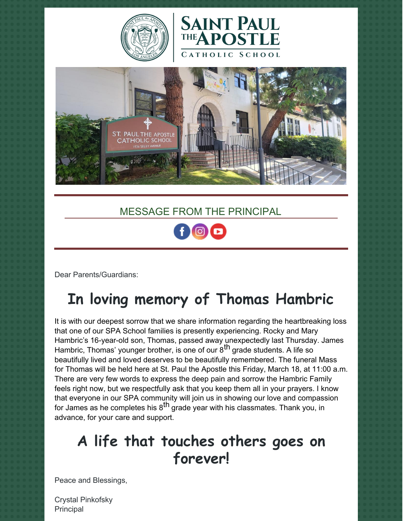





### MESSAGE FROM THE PRINCIPAL

Dear Parents/Guardians:

# **In loving memory of Thomas Hambric**

It is with our deepest sorrow that we share information regarding the heartbreaking loss that one of our SPA School families is presently experiencing. Rocky and Mary Hambric's 16-year-old son, Thomas, passed away unexpectedly last Thursday. James Hambric, Thomas' younger brother, is one of our 8<sup>th</sup> grade students. A life so beautifully lived and loved deserves to be beautifully remembered. The funeral Mass for Thomas will be held here at St. Paul the Apostle this Friday, March 18, at 11:00 a.m. There are very few words to express the deep pain and sorrow the Hambric Family feels right now, but we respectfully ask that you keep them all in your prayers. I know that everyone in our SPA community will join us in showing our love and compassion for James as he completes his 8<sup>th</sup> grade year with his classmates. Thank you, in advance, for your care and support.

## **A life that touches others goes on forever!**

Peace and Blessings,

Crystal Pinkofsky Principal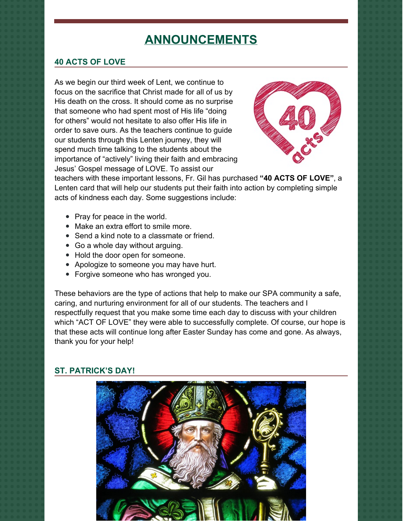### **ANNOUNCEMENTS**

#### **40 ACTS OF LOVE**

As we begin our third week of Lent, we continue to focus on the sacrifice that Christ made for all of us by His death on the cross. It should come as no surprise that someone who had spent most of His life "doing for others" would not hesitate to also offer His life in order to save ours. As the teachers continue to guide our students through this Lenten journey, they will spend much time talking to the students about the importance of "actively" living their faith and embracing Jesus' Gospel message of LOVE. To assist our



teachers with these important lessons, Fr. Gil has purchased **"40 ACTS OF LOVE"**, a Lenten card that will help our students put their faith into action by completing simple acts of kindness each day. Some suggestions include:

- Pray for peace in the world.
- Make an extra effort to smile more.
- Send a kind note to a classmate or friend.
- Go a whole day without arguing.
- Hold the door open for someone.
- Apologize to someone you may have hurt.
- Forgive someone who has wronged you.

These behaviors are the type of actions that help to make our SPA community a safe, caring, and nurturing environment for all of our students. The teachers and I respectfully request that you make some time each day to discuss with your children which "ACT OF LOVE" they were able to successfully complete. Of course, our hope is that these acts will continue long after Easter Sunday has come and gone. As always, thank you for your help!

#### **ST. PATRICK'S DAY!**

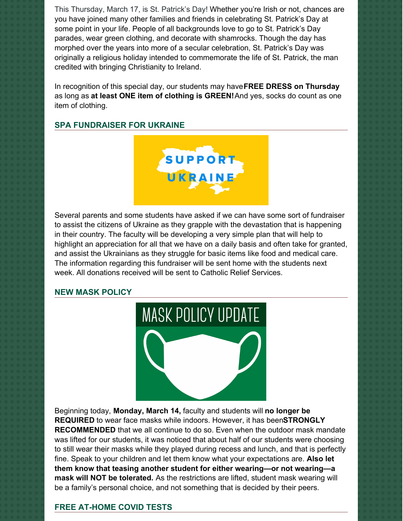This Thursday, March 17, is St. Patrick's Day! Whether you're Irish or not, chances are you have joined many other families and friends in celebrating St. Patrick's Day at some point in your life. People of all backgrounds love to go to St. Patrick's Day parades, wear green clothing, and decorate with shamrocks. Though the day has morphed over the years into more of a secular celebration, St. Patrick's Day was originally a religious holiday intended to commemorate the life of St. Patrick, the man credited with bringing Christianity to Ireland.

In recognition of this special day, our students may have**FREE DRESS on Thursday** as long as **at least ONE item of clothing is GREEN!**And yes, socks do count as one item of clothing.

#### **SPA FUNDRAISER FOR UKRAINE**



Several parents and some students have asked if we can have some sort of fundraiser to assist the citizens of Ukraine as they grapple with the devastation that is happening in their country. The faculty will be developing a very simple plan that will help to highlight an appreciation for all that we have on a daily basis and often take for granted, and assist the Ukrainians as they struggle for basic items like food and medical care. The information regarding this fundraiser will be sent home with the students next week. All donations received will be sent to Catholic Relief Services.

#### **NEW MASK POLICY**



Beginning today, **Monday, March 14,** faculty and students will **no longer be REQUIRED** to wear face masks while indoors. However, it has been**STRONGLY RECOMMENDED** that we all continue to do so. Even when the outdoor mask mandate was lifted for our students, it was noticed that about half of our students were choosing to still wear their masks while they played during recess and lunch, and that is perfectly fine. Speak to your children and let them know what your expectations are. **Also let them know that teasing another student for either wearing—or not wearing—a mask will NOT be tolerated.** As the restrictions are lifted, student mask wearing will be a family's personal choice, and not something that is decided by their peers.

#### **FREE AT-HOME COVID TESTS**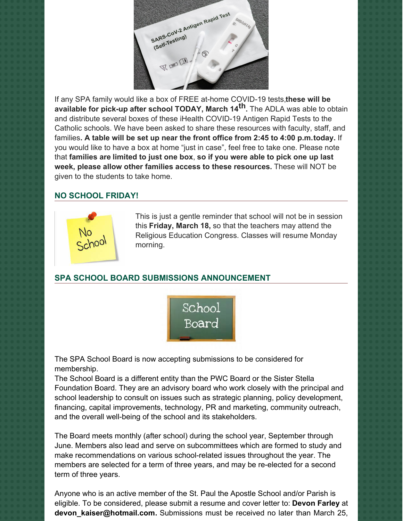

If any SPA family would like a box of FREE at-home COVID-19 tests,**these will be available for pick-up after school TODAY, March 14 th.** The ADLA was able to obtain and distribute several boxes of these iHealth COVID-19 Antigen Rapid Tests to the Catholic schools. We have been asked to share these resources with faculty, staff, and families**. A table will be set up near the front office from 2:45 to 4:00 p.m.today.** If you would like to have a box at home "just in case", feel free to take one. Please note that **families are limited to just one box**, **so if you were able to pick one up last week, please allow other families access to these resources.** These will NOT be given to the students to take home.

#### **NO SCHOOL FRIDAY!**



This is just a gentle reminder that school will not be in session this **Friday, March 18,** so that the teachers may attend the Religious Education Congress. Classes will resume Monday morning.

#### **SPA SCHOOL BOARD SUBMISSIONS ANNOUNCEMENT**



The SPA School Board is now accepting submissions to be considered for membership.

The School Board is a different entity than the PWC Board or the Sister Stella Foundation Board. They are an advisory board who work closely with the principal and school leadership to consult on issues such as strategic planning, policy development, financing, capital improvements, technology, PR and marketing, community outreach, and the overall well-being of the school and its stakeholders.

The Board meets monthly (after school) during the school year, September through June. Members also lead and serve on subcommittees which are formed to study and make recommendations on various school-related issues throughout the year. The members are selected for a term of three years, and may be re-elected for a second term of three years.

Anyone who is an active member of the St. Paul the Apostle School and/or Parish is eligible. To be considered, please submit a resume and cover letter to: **Devon Farley** at **[devon\\_kaiser@hotmail.com](mailto:devon_kaiser@hotmail.com).** Submissions must be received no later than March 25,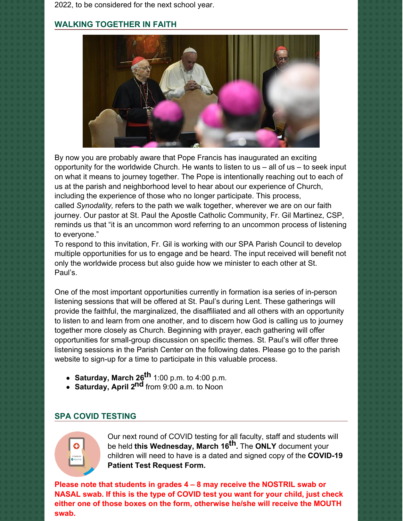2022, to be considered for the next school year.

#### **WALKING TOGETHER IN FAITH**



By now you are probably aware that Pope Francis has inaugurated an exciting opportunity for the worldwide Church. He wants to listen to us  $-$  all of us  $-$  to seek input on what it means to journey together. The Pope is intentionally reaching out to each of us at the parish and neighborhood level to hear about our experience of Church, including the experience of those who no longer participate. This process, called *Synodality,* refers to the path we walk together, wherever we are on our faith journey. Our pastor at St. Paul the Apostle Catholic Community, Fr. Gil Martinez, CSP, reminds us that "it is an uncommon word referring to an uncommon process of listening to everyone."

To respond to this invitation, Fr. Gil is working with our SPA Parish Council to develop multiple opportunities for us to engage and be heard. The input received will benefit not only the worldwide process but also guide how we minister to each other at St. Paul's.

One of the most important opportunities currently in formation isa series of in-person listening sessions that will be offered at St. Paul's during Lent. These gatherings will provide the faithful, the marginalized, the disaffiliated and all others with an opportunity to listen to and learn from one another, and to discern how God is calling us to journey together more closely as Church. Beginning with prayer, each gathering will offer opportunities for small-group discussion on specific themes. St. Paul's will offer three listening sessions in the Parish Center on the following dates. Please go to the parish website to sign-up for a time to participate in this valuable process.

- **Saturday, March 26 th** 1:00 p.m. to 4:00 p.m.
- **Saturday, April 2 nd** from 9:00 a.m. to Noon

#### **SPA COVID TESTING**



Our next round of COVID testing for all faculty, staff and students will be held **this Wednesday, March 16 th.** The **ONLY** document your children will need to have is a dated and signed copy of the **COVID-19 Patient Test Request Form.**

**Please note that students in grades 4 – 8 may receive the NOSTRIL swab or NASAL swab. If this is the type of COVID test you want for your child, just check either one of those boxes on the form, otherwise he/she will receive the MOUTH swab.**